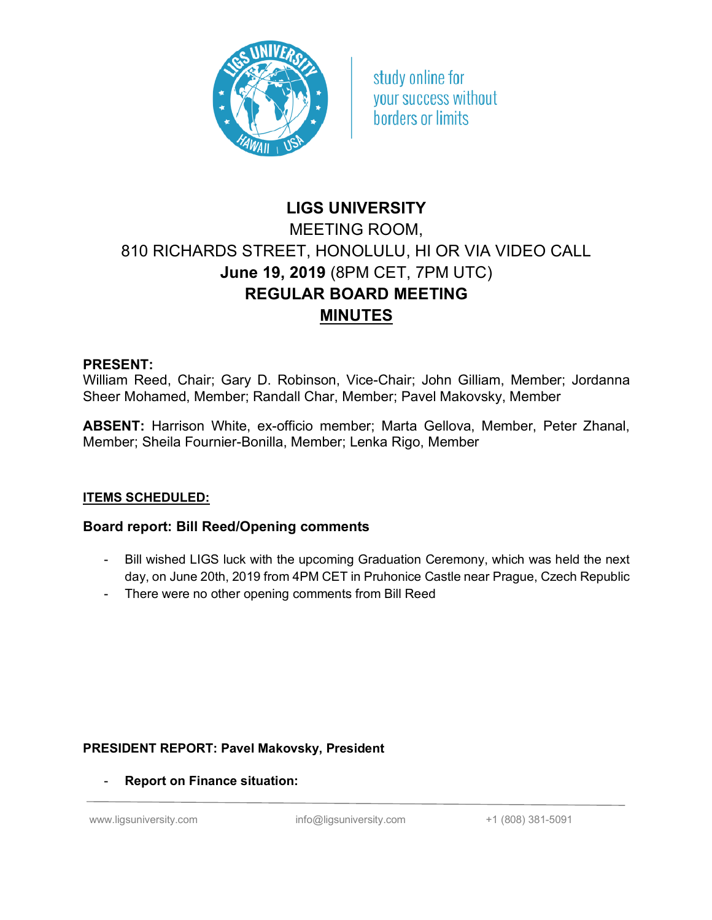

study online for vour success without borders or limits

# **LIGS UNIVERSITY** MEETING ROOM, 810 RICHARDS STREET, HONOLULU, HI OR VIA VIDEO CALL **June 19, 2019** (8PM CET, 7PM UTC) **REGULAR BOARD MEETING MINUTES**

#### **PRESENT:**

William Reed, Chair; Gary D. Robinson, Vice-Chair; John Gilliam, Member; Jordanna Sheer Mohamed, Member; Randall Char, Member; Pavel Makovsky, Member

**ABSENT:** Harrison White, ex-officio member; Marta Gellova, Member, Peter Zhanal, Member; Sheila Fournier-Bonilla, Member; Lenka Rigo, Member

# **ITEMS SCHEDULED:**

# **Board report: Bill Reed/Opening comments**

- Bill wished LIGS luck with the upcoming Graduation Ceremony, which was held the next day, on June 20th, 2019 from 4PM CET in Pruhonice Castle near Prague, Czech Republic
- There were no other opening comments from Bill Reed

# **PRESIDENT REPORT: Pavel Makovsky, President**

- **Report on Finance situation:**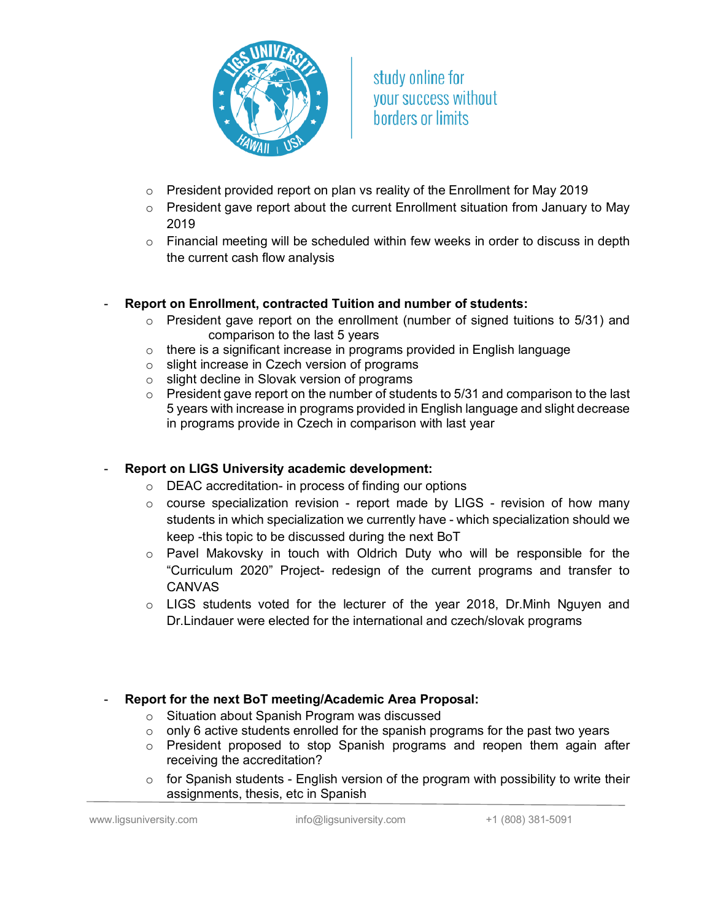

study online for vour success without borders or limits

- o President provided report on plan vs reality of the Enrollment for May 2019
- o President gave report about the current Enrollment situation from January to May 2019
- $\circ$  Financial meeting will be scheduled within few weeks in order to discuss in depth the current cash flow analysis

#### - **Report on Enrollment, contracted Tuition and number of students:**

- o President gave report on the enrollment (number of signed tuitions to 5/31) and comparison to the last 5 years
- o there is a significant increase in programs provided in English language
- o slight increase in Czech version of programs
- o slight decline in Slovak version of programs
- $\circ$  President gave report on the number of students to 5/31 and comparison to the last 5 years with increase in programs provided in English language and slight decrease in programs provide in Czech in comparison with last year

# **Report on LIGS University academic development:**

- o DEAC accreditation- in process of finding our options
- o course specialization revision report made by LIGS revision of how many students in which specialization we currently have - which specialization should we keep -this topic to be discussed during the next BoT
- $\circ$  Pavel Makovsky in touch with Oldrich Duty who will be responsible for the "Curriculum 2020" Project- redesign of the current programs and transfer to CANVAS
- o LIGS students voted for the lecturer of the year 2018, Dr.Minh Nguyen and Dr.Lindauer were elected for the international and czech/slovak programs

# - **Report for the next BoT meeting/Academic Area Proposal:**

- o Situation about Spanish Program was discussed
- $\circ$  only 6 active students enrolled for the spanish programs for the past two years
- o President proposed to stop Spanish programs and reopen them again after receiving the accreditation?
- o for Spanish students English version of the program with possibility to write their assignments, thesis, etc in Spanish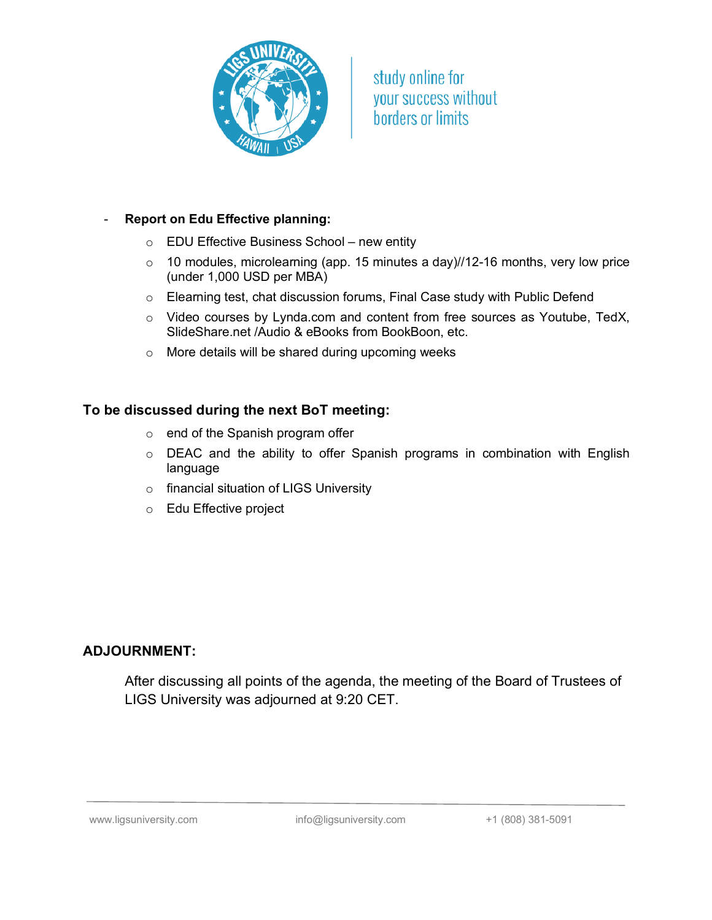

study online for your success without borders or limits

#### - **Report on Edu Effective planning:**

- o EDU Effective Business School new entity
- o 10 modules, microlearning (app. 15 minutes a day)//12-16 months, very low price (under 1,000 USD per MBA)
- o Elearning test, chat discussion forums, Final Case study with Public Defend
- o Video courses by Lynda.com and content from free sources as Youtube, TedX, SlideShare.net /Audio & eBooks from BookBoon, etc.
- o More details will be shared during upcoming weeks

#### **To be discussed during the next BoT meeting:**

- o end of the Spanish program offer
- o DEAC and the ability to offer Spanish programs in combination with English language
- o financial situation of LIGS University
- o Edu Effective project

#### **ADJOURNMENT:**

After discussing all points of the agenda, the meeting of the Board of Trustees of LIGS University was adjourned at 9:20 CET.